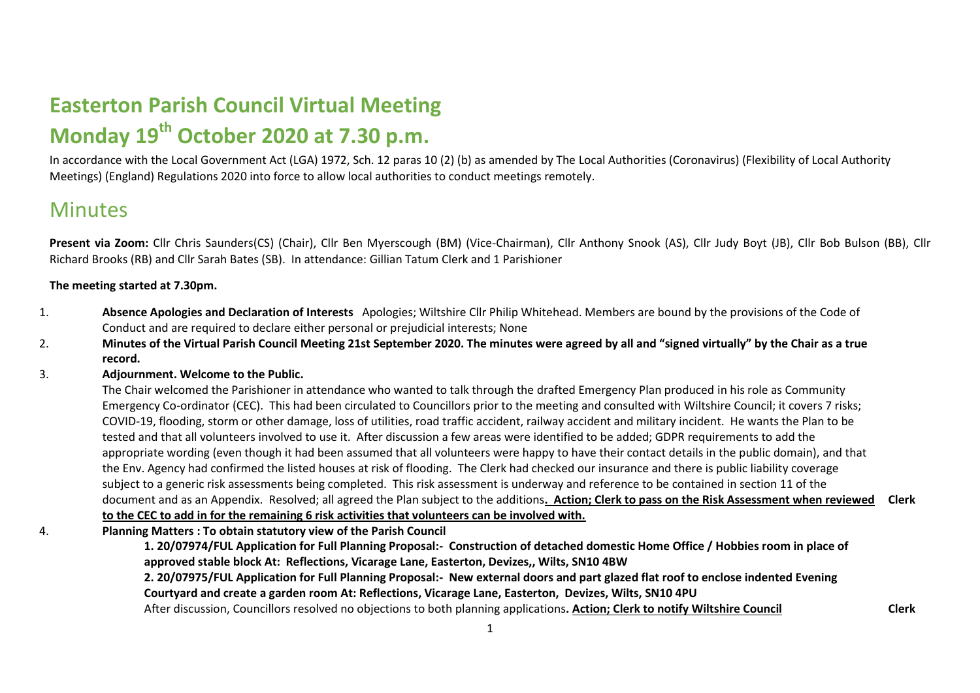# **Easterton Parish Council Virtual Meeting Monday 19th October 2020 at 7.30 p.m.**

In accordance with the Local Government Act (LGA) 1972, Sch. 12 paras 10 (2) (b) as amended by The Local Authorities (Coronavirus) (Flexibility of Local Authority Meetings) (England) Regulations 2020 into force to allow local authorities to conduct meetings remotely.

# **Minutes**

Present via Zoom: Cllr Chris Saunders(CS) (Chair), Cllr Ben Myerscough (BM) (Vice-Chairman), Cllr Anthony Snook (AS), Cllr Judy Boyt (JB), Cllr Bob Bulson (BB), Cllr Richard Brooks (RB) and Cllr Sarah Bates (SB). In attendance: Gillian Tatum Clerk and 1 Parishioner

## **The meeting started at 7.30pm.**

- 1. **Absence Apologies and Declaration of Interests** Apologies; Wiltshire Cllr Philip Whitehead. Members are bound by the provisions of the Code of Conduct and are required to declare either personal or prejudicial interests; None
- 2. **Minutes of the Virtual Parish Council Meeting 21st September 2020. The minutes were agreed by all and "signed virtually" by the Chair as a true record.**

### 3. **Adjournment. Welcome to the Public.**

The Chair welcomed the Parishioner in attendance who wanted to talk through the drafted Emergency Plan produced in his role as Community Emergency Co-ordinator (CEC). This had been circulated to Councillors prior to the meeting and consulted with Wiltshire Council; it covers 7 risks; COVID-19, flooding, storm or other damage, loss of utilities, road traffic accident, railway accident and military incident. He wants the Plan to be tested and that all volunteers involved to use it. After discussion a few areas were identified to be added; GDPR requirements to add the appropriate wording (even though it had been assumed that all volunteers were happy to have their contact details in the public domain), and that the Env. Agency had confirmed the listed houses at risk of flooding. The Clerk had checked our insurance and there is public liability coverage subject to a generic risk assessments being completed. This risk assessment is underway and reference to be contained in section 11 of the document and as an Appendix. Resolved; all agreed the Plan subject to the additions**. Action; Clerk to pass on the Risk Assessment when reviewed Clerk to the CEC to add in for the remaining 6 risk activities that volunteers can be involved with.** 

4. **Planning Matters : To obtain statutory view of the Parish Council** 

**1. 20/07974/FUL Application for Full Planning Proposal:- Construction of detached domestic Home Office / Hobbies room in place of approved stable block At: Reflections, Vicarage Lane, Easterton, Devizes,, Wilts, SN10 4BW**

**2. 20/07975/FUL Application for Full Planning Proposal:- New external doors and part glazed flat roof to enclose indented Evening Courtyard and create a garden room At: Reflections, Vicarage Lane, Easterton, Devizes, Wilts, SN10 4PU**

After discussion, Councillors resolved no objections to both planning applications**. Action; Clerk to notify Wiltshire Council Clerk**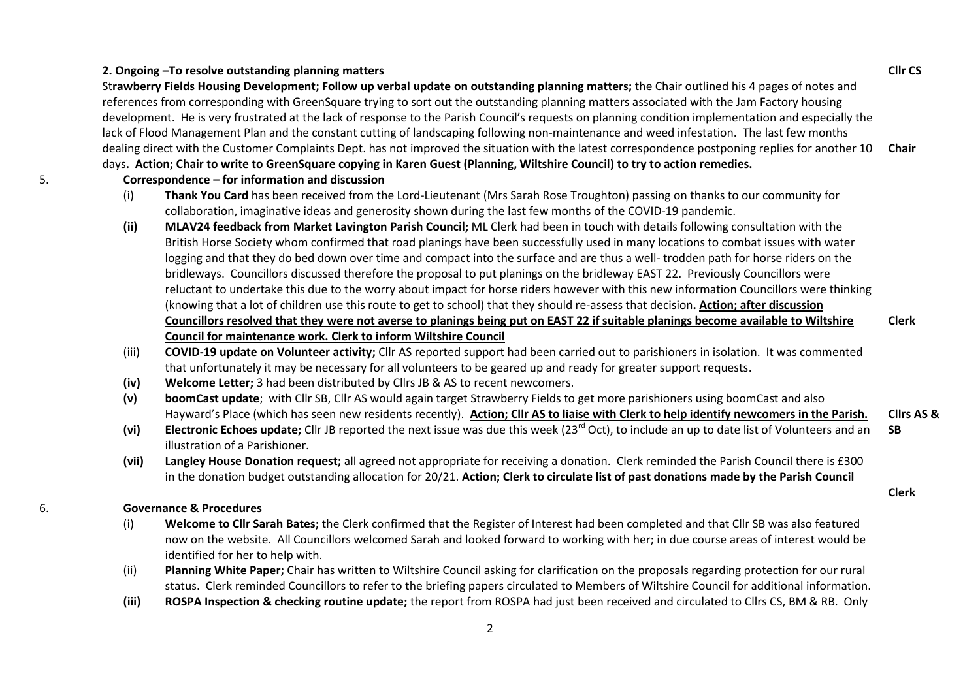#### **2. Ongoing –To resolve outstanding planning matters**

St**rawberry Fields Housing Development; Follow up verbal update on outstanding planning matters;** the Chair outlined his 4 pages of notes and references from corresponding with GreenSquare trying to sort out the outstanding planning matters associated with the Jam Factory housing development. He is very frustrated at the lack of response to the Parish Council's requests on planning condition implementation and especially the lack of Flood Management Plan and the constant cutting of landscaping following non-maintenance and weed infestation. The last few months dealing direct with the Customer Complaints Dept. has not improved the situation with the latest correspondence postponing replies for another 10 days**. Action; Chair to write to GreenSquare copying in Karen Guest (Planning, Wiltshire Council) to try to action remedies. Chair**

- 5. **Correspondence – for information and discussion**
	- (i) **Thank You Card** has been received from the Lord-Lieutenant (Mrs Sarah Rose Troughton) passing on thanks to our community for collaboration, imaginative ideas and generosity shown during the last few months of the COVID-19 pandemic.
	- **(ii) MLAV24 feedback from Market Lavington Parish Council;** ML Clerk had been in touch with details following consultation with the British Horse Society whom confirmed that road planings have been successfully used in many locations to combat issues with water logging and that they do bed down over time and compact into the surface and are thus a well- trodden path for horse riders on the bridleways. Councillors discussed therefore the proposal to put planings on the bridleway EAST 22. Previously Councillors were reluctant to undertake this due to the worry about impact for horse riders however with this new information Councillors were thinking (knowing that a lot of children use this route to get to school) that they should re-assess that decision**. Action; after discussion Councillors resolved that they were not averse to planings being put on EAST 22 if suitable planings become available to Wiltshire Council for maintenance work. Clerk to inform Wiltshire Council Clerk**
	- (iii) **COVID-19 update on Volunteer activity;** Cllr AS reported support had been carried out to parishioners in isolation. It was commented that unfortunately it may be necessary for all volunteers to be geared up and ready for greater support requests.
	- **(iv) Welcome Letter;** 3 had been distributed by Cllrs JB & AS to recent newcomers.
	- **(v) boomCast update**; with Cllr SB, Cllr AS would again target Strawberry Fields to get more parishioners using boomCast and also Hayward's Place (which has seen new residents recently). **Action; Cllr AS to liaise with Clerk to help identify newcomers in the Parish. Cllrs AS &**
	- (vi) Electronic Echoes update; Cllr JB reported the next issue was due this week (23<sup>rd</sup> Oct), to include an up to date list of Volunteers and an illustration of a Parishioner. **SB**
	- **(vii) Langley House Donation request;** all agreed not appropriate for receiving a donation. Clerk reminded the Parish Council there is £300 in the donation budget outstanding allocation for 20/21. **Action; Clerk to circulate list of past donations made by the Parish Council**

#### 6. **Governance & Procedures**

- (i) **Welcome to Cllr Sarah Bates;** the Clerk confirmed that the Register of Interest had been completed and that Cllr SB was also featured now on the website. All Councillors welcomed Sarah and looked forward to working with her; in due course areas of interest would be identified for her to help with.
- (ii) **Planning White Paper;** Chair has written to Wiltshire Council asking for clarification on the proposals regarding protection for our rural status. Clerk reminded Councillors to refer to the briefing papers circulated to Members of Wiltshire Council for additional information.
- **(iii) ROSPA Inspection & checking routine update;** the report from ROSPA had just been received and circulated to Cllrs CS, BM & RB. Only

2

**Cllr CS**

**Clerk**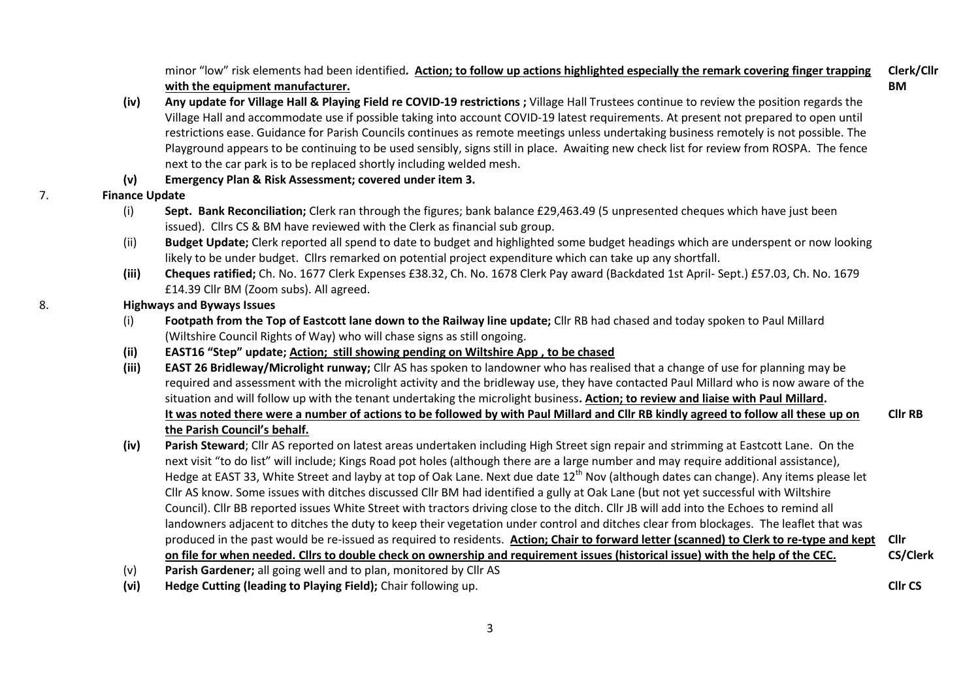minor "low" risk elements had been identified**. Action; to follow up actions highlighted especially the remark covering finger trapping with the equipment manufacturer. Clerk/Cllr BM**

- **(iv) Any update for Village Hall & Playing Field re COVID-19 restrictions ;** Village Hall Trustees continue to review the position regards the Village Hall and accommodate use if possible taking into account COVID-19 latest requirements. At present not prepared to open until restrictions ease. Guidance for Parish Councils continues as remote meetings unless undertaking business remotely is not possible. The Playground appears to be continuing to be used sensibly, signs still in place. Awaiting new check list for review from ROSPA. The fence next to the car park is to be replaced shortly including welded mesh.
- **(v) Emergency Plan & Risk Assessment; covered under item 3.**
- 7. **Finance Update**
	- (i) **Sept. Bank Reconciliation;** Clerk ran through the figures; bank balance £29,463.49 (5 unpresented cheques which have just been issued). Cllrs CS & BM have reviewed with the Clerk as financial sub group.
	- (ii) **Budget Update;** Clerk reported all spend to date to budget and highlighted some budget headings which are underspent or now looking likely to be under budget. Cllrs remarked on potential project expenditure which can take up any shortfall.
	- **(iii) Cheques ratified;** Ch. No. 1677 Clerk Expenses £38.32, Ch. No. 1678 Clerk Pay award (Backdated 1st April- Sept.) £57.03, Ch. No. 1679 £14.39 Cllr BM (Zoom subs). All agreed.
- 8. **Highways and Byways Issues**
	- (i) **Footpath from the Top of Eastcott lane down to the Railway line update;** Cllr RB had chased and today spoken to Paul Millard (Wiltshire Council Rights of Way) who will chase signs as still ongoing.
	- **(ii) EAST16 "Step" update; Action; still showing pending on Wiltshire App , to be chased**
	- **(iii) EAST 26 Bridleway/Microlight runway;** Cllr AS has spoken to landowner who has realised that a change of use for planning may be required and assessment with the microlight activity and the bridleway use, they have contacted Paul Millard who is now aware of the situation and will follow up with the tenant undertaking the microlight business**. Action; to review and liaise with Paul Millard. It was noted there were a number of actions to be followed by with Paul Millard and Cllr RB kindly agreed to follow all these up on the Parish Council's behalf.**

**Cllr RB**

**Cllr CS**

- **(iv) Parish Steward**; Cllr AS reported on latest areas undertaken including High Street sign repair and strimming at Eastcott Lane. On the next visit "to do list" will include; Kings Road pot holes (although there are a large number and may require additional assistance), Hedge at EAST 33. White Street and layby at top of Oak Lane. Next due date 12<sup>th</sup> Nov (although dates can change). Any items please let Cllr AS know. Some issues with ditches discussed Cllr BM had identified a gully at Oak Lane (but not yet successful with Wiltshire Council). Cllr BB reported issues White Street with tractors driving close to the ditch. Cllr JB will add into the Echoes to remind all landowners adjacent to ditches the duty to keep their vegetation under control and ditches clear from blockages. The leaflet that was produced in the past would be re-issued as required to residents. **Action; Chair to forward letter (scanned) to Clerk to re-type and kept Cllr on file for when needed. Cllrs to double check on ownership and requirement issues (historical issue) with the help of the CEC. CS/Clerk**
- (v) **Parish Gardener;** all going well and to plan, monitored by Cllr AS
- **(vi) Hedge Cutting (leading to Playing Field);** Chair following up.